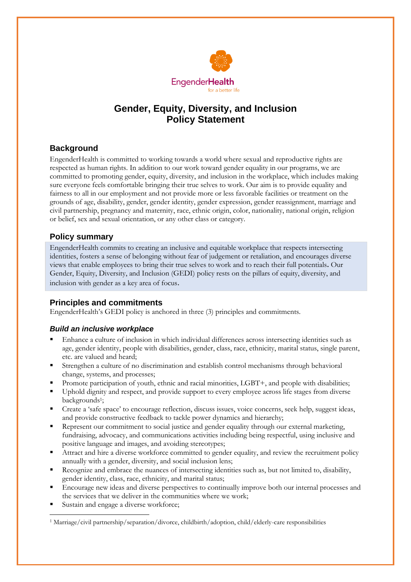

# **Gender, Equity, Diversity, and Inclusion Policy Statement**

# **Background**

EngenderHealth is committed to working towards a world where sexual and reproductive rights are respected as human rights. In addition to our work toward gender equality in our programs, we are committed to promoting gender, equity, diversity, and inclusion in the workplace, which includes making sure everyone feels comfortable bringing their true selves to work. Our aim is to provide equality and fairness to all in our employment and not provide more or less favorable facilities or treatment on the grounds of age, disability, gender, gender identity, gender expression, gender reassignment, marriage and civil partnership, pregnancy and maternity, race, ethnic origin, color, nationality, national origin, religion or belief, sex and sexual orientation, or any other class or category.

## **Policy summary**

EngenderHealth commits to creating an inclusive and equitable workplace that respects intersecting identities, fosters a sense of belonging without fear of judgement or retaliation, and encourages diverse views that enable employees to bring their true selves to work and to reach their full potentials**.** Our Gender, Equity, Diversity, and Inclusion (GEDI) policy rests on the pillars of equity, diversity, and inclusion with gender as a key area of focus.

## **Principles and commitments**

EngenderHealth's GEDI policy is anchored in three (3) principles and commitments.

## *Build an inclusive workplace*

- Enhance a culture of inclusion in which individual differences across intersecting identities such as age, gender identity, people with disabilities, gender, class, race, ethnicity, marital status, single parent, etc. are valued and heard;
- Strengthen a culture of no discrimination and establish control mechanisms through behavioral change, systems, and processes;
- Promote participation of youth, ethnic and racial minorities, LGBT+, and people with disabilities;
- Uphold dignity and respect, and provide support to every employee across life stages from diverse backgrounds<sup>1</sup>;
- Create a 'safe space' to encourage reflection, discuss issues, voice concerns, seek help, suggest ideas, and provide constructive feedback to tackle power dynamics and hierarchy;
- **•** Represent our commitment to social justice and gender equality through our external marketing, fundraising, advocacy, and communications activities including being respectful, using inclusive and positive language and images, and avoiding stereotypes;
- Attract and hire a diverse workforce committed to gender equality, and review the recruitment policy annually with a gender, diversity, and social inclusion lens;
- Recognize and embrace the nuances of intersecting identities such as, but not limited to, disability, gender identity, class, race, ethnicity, and marital status;
- Encourage new ideas and diverse perspectives to continually improve both our internal processes and the services that we deliver in the communities where we work;
- Sustain and engage a diverse workforce;

<sup>1</sup> Marriage/civil partnership/separation/divorce, childbirth/adoption, child/elderly-care responsibilities